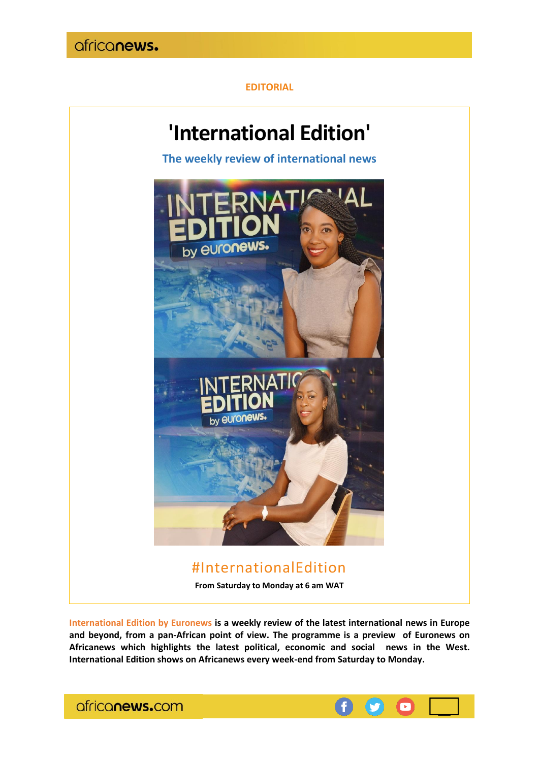

## **EDITORIAL**



**International Edition by Euronews is a weekly review of the latest international news in Europe and beyond, from a pan-African point of view. The programme is a preview of Euronews on Africanews which highlights the latest political, economic and social news in the West. International Edition shows on Africanews every week-end from Saturday to Monday.**



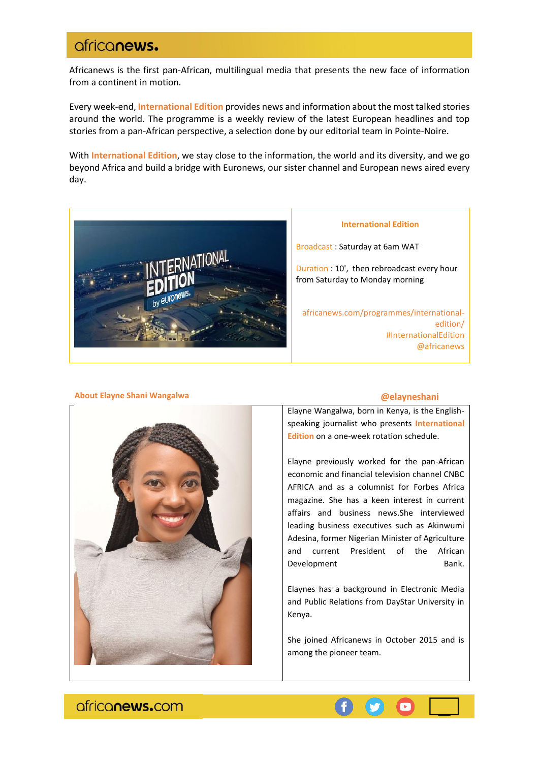## africanews.

Africanews is the first pan-African, multilingual media that presents the new face of information from a continent in motion.

Every week-end, **International Edition** provides news and information about the most talked stories around the world. The programme is a weekly review of the latest European headlines and top stories from a pan-African perspective, a selection done by our editorial team in Pointe-Noire.

With **International Edition**, we stay close to the information, the world and its diversity, and we go beyond Africa and build a bridge with Euronews, our sister channel and European news aired every day.



### **International Edition**

Broadcast : Saturday at 6am WAT

Duration : 10', then rebroadcast every hour from Saturday to Monday morning

africanews.com/programmes/internationaledition/ [#I](https://twitter.com/hashtag/TheMorningCall?src=hash)nternationalEdition [@africanews](https://twitter.com/africanewsfr)

## **@elayneshani**

Elayne Wangalwa, born in Kenya, is the Englishspeaking journalist who presents **International Edition** on a one-week rotation schedule.

Elayne previously worked for the pan-African economic and financial television channel CNBC AFRICA and as a columnist for Forbes Africa magazine. She has a keen interest in current affairs and business news.She interviewed leading business executives such as Akinwumi Adesina, former Nigerian Minister of Agriculture and current President of the African Development Bank.

Elaynes has a background in Electronic Media and Public Relations from DayStar University in Kenya.

She joined Africanews in October 2015 and is among the pioneer team.

africanews.com

**About Elayne Shani Wangalwa**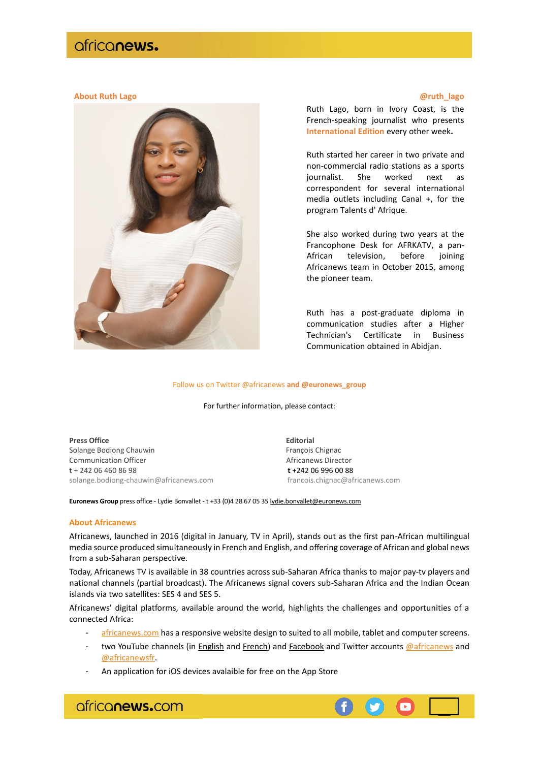## africanews.

### **About Ruth Lago @ruth\_lago**



Ruth Lago, born in Ivory Coast, is the French-speaking journalist who presents **International Edition** every other week**.**

Ruth started her career in two private and non-commercial radio stations as a sports journalist. She worked next as correspondent for several international media outlets including Canal +, for the program Talents d' Afrique.

She also worked during two years at the Francophone Desk for AFRKATV, a pan-African television, before joining Africanews team in October 2015, among the pioneer team.

Ruth has a post-graduate diploma in communication studies after a Higher Technician's Certificate in Business Communication obtained in Abidjan.

#### Follow us on Twitter @africanews **and @euronews\_group**

For further information, please contact:

**Press Office Editorial** Solange Bodiong Chauwin François Chignac Communication Officer **Africanews Director** Africanews Director **t** + 242 06 460 86 98 **t** +242 06 996 00 88 [solange.bodiong-chauwin@africanews.com](mailto:solange.bodiong-chauwin@africanews.com) francois.chignac@africanews.com

**Euronews Group** press office - Lydie Bonvallet - t +33 (0)4 28 67 05 3[5 lydie.bonvallet@euronews.com](mailto:lydie.bonvallet@euronews.com)

#### **About Africanews**

Africanews, launched in 2016 (digital in January, TV in April), stands out as the first pan-African multilingual media source produced simultaneously in French and English, and offering coverage of African and global news from a sub-Saharan perspective.

Today, Africanews TV is available in 38 countries across sub-Saharan Africa thanks to major pay-tv players and national channels (partial broadcast). The Africanews signal covers sub-Saharan Africa and the Indian Ocean islands via two satellites: SES 4 and SES 5.

Africanews' digital platforms, available around the world, highlights the challenges and opportunities of a connected Africa:

[africanews.com](http://www.africanews.com/) has a responsive website design to suited to all mobile, tablet and computer screens.

- two YouTube channels (in [English](https://www.youtube.com/africanews) and [French\)](https://www.youtube.com/africanewsfr) and [Facebook](https://www.facebook.com/africanews.channel/) and Twitter accounts [@africanews](https://twitter.com/africanews) and [@africanewsfr.](https://twitter.com/africanewsfr)
- An application for iOS devices avalaible for free on the App Store

africanews.com